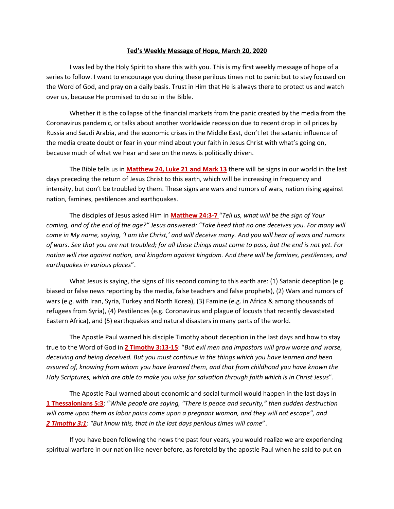## **Ted's Weekly Message of Hope, March 20, 2020**

I was led by the Holy Spirit to share this with you. This is my first weekly message of hope of a series to follow. I want to encourage you during these perilous times not to panic but to stay focused on the Word of God, and pray on a daily basis. Trust in Him that He is always there to protect us and watch over us, because He promised to do so in the Bible.

Whether it is the collapse of the financial markets from the panic created by the media from the Coronavirus pandemic, or talks about another worldwide recession due to recent drop in oil prices by Russia and Saudi Arabia, and the economic crises in the Middle East, don't let the satanic influence of the media create doubt or fear in your mind about your faith in Jesus Christ with what's going on, because much of what we hear and see on the news is politically driven.

The Bible tells us in **Matthew 24, Luke 21 and Mark 13** there will be signs in our world in the last days preceding the return of Jesus Christ to this earth, which will be increasing in frequency and intensity, but don't be troubled by them. These signs are wars and rumors of wars, nation rising against nation, famines, pestilences and earthquakes.

The disciples of Jesus asked Him in **Matthew 24:3-7** "*Tell us, what will be the sign of Your coming, and of the end of the age?" Jesus answered: "Take heed that no one deceives you. For many will come in My name, saying, 'I am the Christ,' and will deceive many. And you will hear of wars and rumors of wars. See that you are not troubled; for all these things must come to pass, but the end is not yet. For nation will rise against nation, and kingdom against kingdom. And there will be famines, pestilences, and earthquakes in various places*".

What Jesus is saying, the signs of His second coming to this earth are: (1) Satanic deception (e.g. biased or false news reporting by the media, false teachers and false prophets), (2) Wars and rumors of wars (e.g. with Iran, Syria, Turkey and North Korea), (3) Famine (e.g. in Africa & among thousands of refugees from Syria), (4) Pestilences (e.g. Coronavirus and plague of locusts that recently devastated Eastern Africa), and (5) earthquakes and natural disasters in many parts of the world.

The Apostle Paul warned his disciple Timothy about deception in the last days and how to stay true to the Word of God in **2 Timothy 3:13-15**: "*But evil men and impostors will grow worse and worse, deceiving and being deceived. But you must continue in the things which you have learned and been assured of, knowing from whom you have learned them, and that from childhood you have known the Holy Scriptures, which are able to make you wise for salvation through faith which is in Christ Jesus*".

The Apostle Paul warned about economic and social turmoil would happen in the last days in **1 Thessalonians 5:3**: "*While people are saying, "There is peace and security," then sudden destruction will come upon them as labor pains come upon a pregnant woman, and they will not escape", and 2 Timothy 3:1: "But know this, that in the last days perilous times will come*".

If you have been following the news the past four years, you would realize we are experiencing spiritual warfare in our nation like never before, as foretold by the apostle Paul when he said to put on